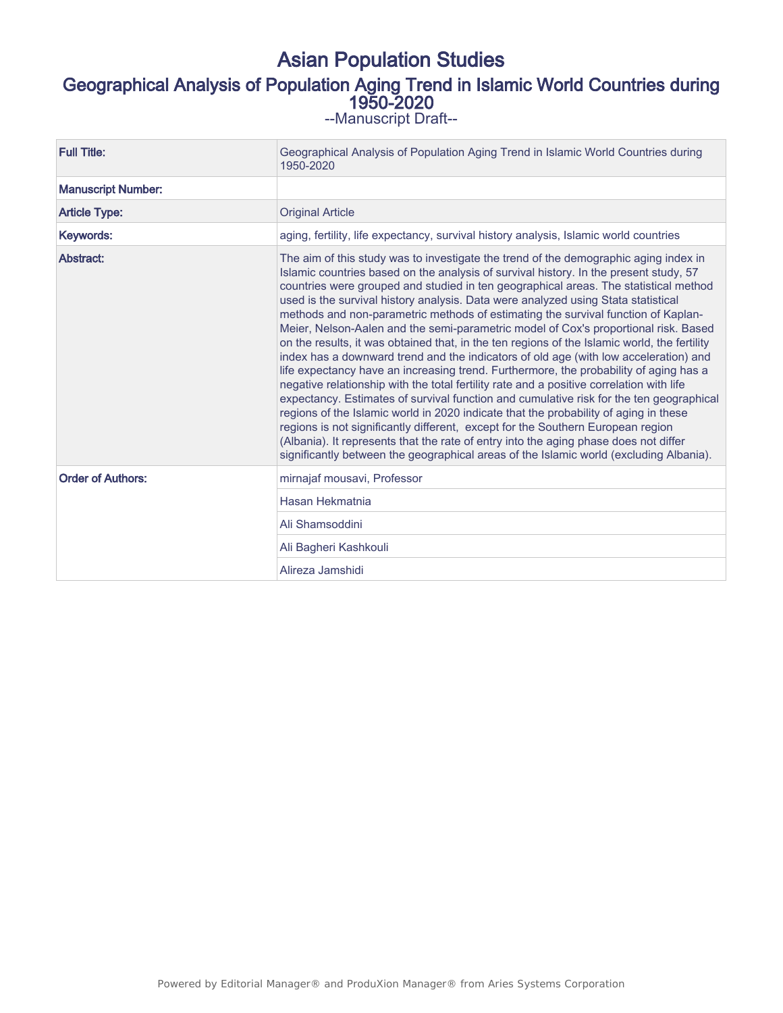# Asian Population Studies Geographical Analysis of Population Aging Trend in Islamic World Countries during 1950-2020 --Manuscript Draft--

| <b>Full Title:</b>        | Geographical Analysis of Population Aging Trend in Islamic World Countries during<br>1950-2020                                                                                                                                                                                                                                                                                                                                                                                                                                                                                                                                                                                                                                                                                                                                                                                                                                                                                                                                                                                                                                                                                                                                                                                                                                                                              |  |  |
|---------------------------|-----------------------------------------------------------------------------------------------------------------------------------------------------------------------------------------------------------------------------------------------------------------------------------------------------------------------------------------------------------------------------------------------------------------------------------------------------------------------------------------------------------------------------------------------------------------------------------------------------------------------------------------------------------------------------------------------------------------------------------------------------------------------------------------------------------------------------------------------------------------------------------------------------------------------------------------------------------------------------------------------------------------------------------------------------------------------------------------------------------------------------------------------------------------------------------------------------------------------------------------------------------------------------------------------------------------------------------------------------------------------------|--|--|
| <b>Manuscript Number:</b> |                                                                                                                                                                                                                                                                                                                                                                                                                                                                                                                                                                                                                                                                                                                                                                                                                                                                                                                                                                                                                                                                                                                                                                                                                                                                                                                                                                             |  |  |
| <b>Article Type:</b>      | <b>Original Article</b>                                                                                                                                                                                                                                                                                                                                                                                                                                                                                                                                                                                                                                                                                                                                                                                                                                                                                                                                                                                                                                                                                                                                                                                                                                                                                                                                                     |  |  |
| Keywords:                 | aging, fertility, life expectancy, survival history analysis, Islamic world countries                                                                                                                                                                                                                                                                                                                                                                                                                                                                                                                                                                                                                                                                                                                                                                                                                                                                                                                                                                                                                                                                                                                                                                                                                                                                                       |  |  |
| Abstract:                 | The aim of this study was to investigate the trend of the demographic aging index in<br>Islamic countries based on the analysis of survival history. In the present study, 57<br>countries were grouped and studied in ten geographical areas. The statistical method<br>used is the survival history analysis. Data were analyzed using Stata statistical<br>methods and non-parametric methods of estimating the survival function of Kaplan-<br>Meier, Nelson-Aalen and the semi-parametric model of Cox's proportional risk. Based<br>on the results, it was obtained that, in the ten regions of the Islamic world, the fertility<br>index has a downward trend and the indicators of old age (with low acceleration) and<br>life expectancy have an increasing trend. Furthermore, the probability of aging has a<br>negative relationship with the total fertility rate and a positive correlation with life<br>expectancy. Estimates of survival function and cumulative risk for the ten geographical<br>regions of the Islamic world in 2020 indicate that the probability of aging in these<br>regions is not significantly different, except for the Southern European region<br>(Albania). It represents that the rate of entry into the aging phase does not differ<br>significantly between the geographical areas of the Islamic world (excluding Albania). |  |  |
| <b>Order of Authors:</b>  | mirnajaf mousavi, Professor                                                                                                                                                                                                                                                                                                                                                                                                                                                                                                                                                                                                                                                                                                                                                                                                                                                                                                                                                                                                                                                                                                                                                                                                                                                                                                                                                 |  |  |
|                           | Hasan Hekmatnia                                                                                                                                                                                                                                                                                                                                                                                                                                                                                                                                                                                                                                                                                                                                                                                                                                                                                                                                                                                                                                                                                                                                                                                                                                                                                                                                                             |  |  |
|                           | Ali Shamsoddini                                                                                                                                                                                                                                                                                                                                                                                                                                                                                                                                                                                                                                                                                                                                                                                                                                                                                                                                                                                                                                                                                                                                                                                                                                                                                                                                                             |  |  |
|                           | Ali Bagheri Kashkouli                                                                                                                                                                                                                                                                                                                                                                                                                                                                                                                                                                                                                                                                                                                                                                                                                                                                                                                                                                                                                                                                                                                                                                                                                                                                                                                                                       |  |  |
|                           | Alireza Jamshidi                                                                                                                                                                                                                                                                                                                                                                                                                                                                                                                                                                                                                                                                                                                                                                                                                                                                                                                                                                                                                                                                                                                                                                                                                                                                                                                                                            |  |  |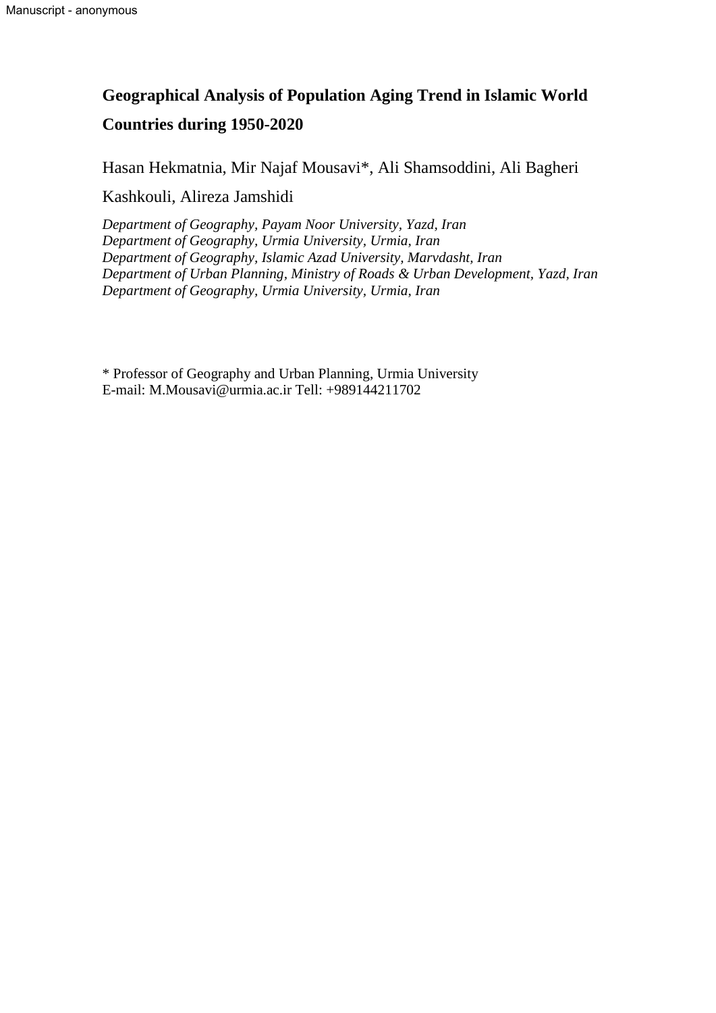# **Geographical Analysis of Population Aging Trend in Islamic World Countries during 1950-2020**

Hasan Hekmatnia, Mir Najaf Mousavi\*, Ali Shamsoddini, Ali Bagheri

Kashkouli, Alireza Jamshidi

*Department of Geography, Payam Noor University, Yazd, Iran Department of Geography, Urmia University, Urmia, Iran Department of Geography, Islamic Azad University, Marvdasht, Iran Department of Urban Planning, Ministry of Roads & Urban Development, Yazd, Iran Department of Geography, Urmia University, Urmia, Iran*

\* Professor of Geography and Urban Planning, Urmia University E-mail: [M.Mousavi@urmia.ac.ir](mailto:M.Mousavi@urmia.ac.ir) Tell: +989144211702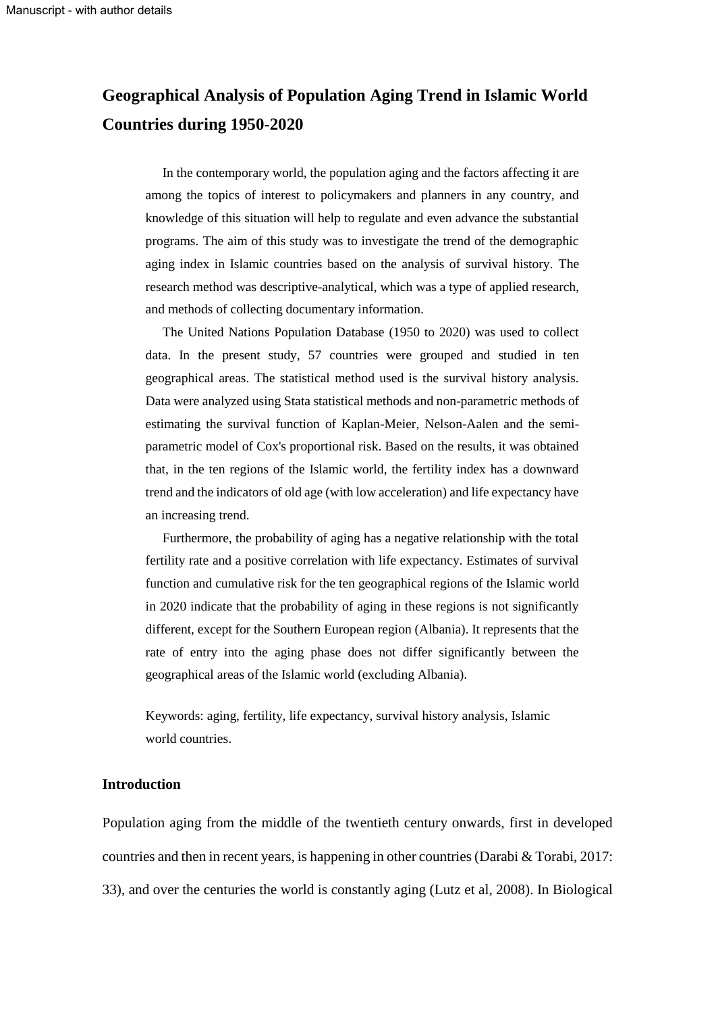# **Geographical Analysis of Population Aging Trend in Islamic World Countries during 1950-2020**

In the contemporary world, the population aging and the factors affecting it are among the topics of interest to policymakers and planners in any country, and knowledge of this situation will help to regulate and even advance the substantial programs. The aim of this study was to investigate the trend of the demographic aging index in Islamic countries based on the analysis of survival history. The research method was descriptive-analytical, which was a type of applied research, and methods of collecting documentary information.

The United Nations Population Database (1950 to 2020) was used to collect data. In the present study, 57 countries were grouped and studied in ten geographical areas. The statistical method used is the survival history analysis. Data were analyzed using Stata statistical methods and non-parametric methods of estimating the survival function of Kaplan-Meier, Nelson-Aalen and the semiparametric model of Cox's proportional risk. Based on the results, it was obtained that, in the ten regions of the Islamic world, the fertility index has a downward trend and the indicators of old age (with low acceleration) and life expectancy have an increasing trend.

Furthermore, the probability of aging has a negative relationship with the total fertility rate and a positive correlation with life expectancy. Estimates of survival function and cumulative risk for the ten geographical regions of the Islamic world in 2020 indicate that the probability of aging in these regions is not significantly different, except for the Southern European region (Albania). It represents that the rate of entry into the aging phase does not differ significantly between the geographical areas of the Islamic world (excluding Albania).

Keywords: aging, fertility, life expectancy, survival history analysis, Islamic world countries.

## **Introduction**

Population aging from the middle of the twentieth century onwards, first in developed countries and then in recent years, is happening in other countries (Darabi & Torabi, 2017: 33), and over the centuries the world is constantly aging (Lutz et al, 2008). In Biological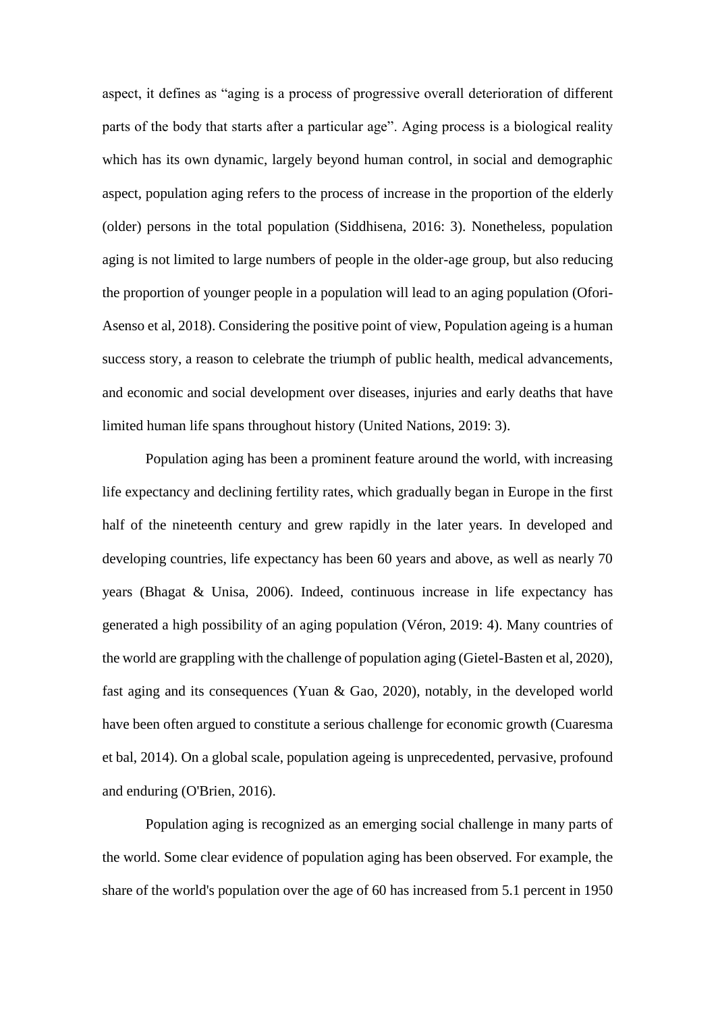aspect, it defines as "aging is a process of progressive overall deterioration of different parts of the body that starts after a particular age". Aging process is a biological reality which has its own dynamic, largely beyond human control, in social and demographic aspect, population aging refers to the process of increase in the proportion of the elderly (older) persons in the total population (Siddhisena, 2016: 3). Nonetheless, population aging is not limited to large numbers of people in the older-age group, but also reducing the proportion of younger people in a population will lead to an aging population (Ofori-Asenso et al, 2018). Considering the positive point of view, Population ageing is a human success story, a reason to celebrate the triumph of public health, medical advancements, and economic and social development over diseases, injuries and early deaths that have limited human life spans throughout history (United Nations, 2019: 3).

Population aging has been a prominent feature around the world, with increasing life expectancy and declining fertility rates, which gradually began in Europe in the first half of the nineteenth century and grew rapidly in the later years. In developed and developing countries, life expectancy has been 60 years and above, as well as nearly 70 years (Bhagat & Unisa, 2006). Indeed, continuous increase in life expectancy has generated a high possibility of an aging population (Véron, 2019: 4). Many countries of the world are grappling with the challenge of population aging (Gietel-Basten et al, 2020), fast aging and its consequences (Yuan & Gao, 2020), notably, in the developed world have been often argued to constitute a serious challenge for economic growth (Cuaresma et bal, 2014). On a global scale, population ageing is unprecedented, pervasive, profound and enduring (O'Brien, 2016).

Population aging is recognized as an emerging social challenge in many parts of the world. Some clear evidence of population aging has been observed. For example, the share of the world's population over the age of 60 has increased from 5.1 percent in 1950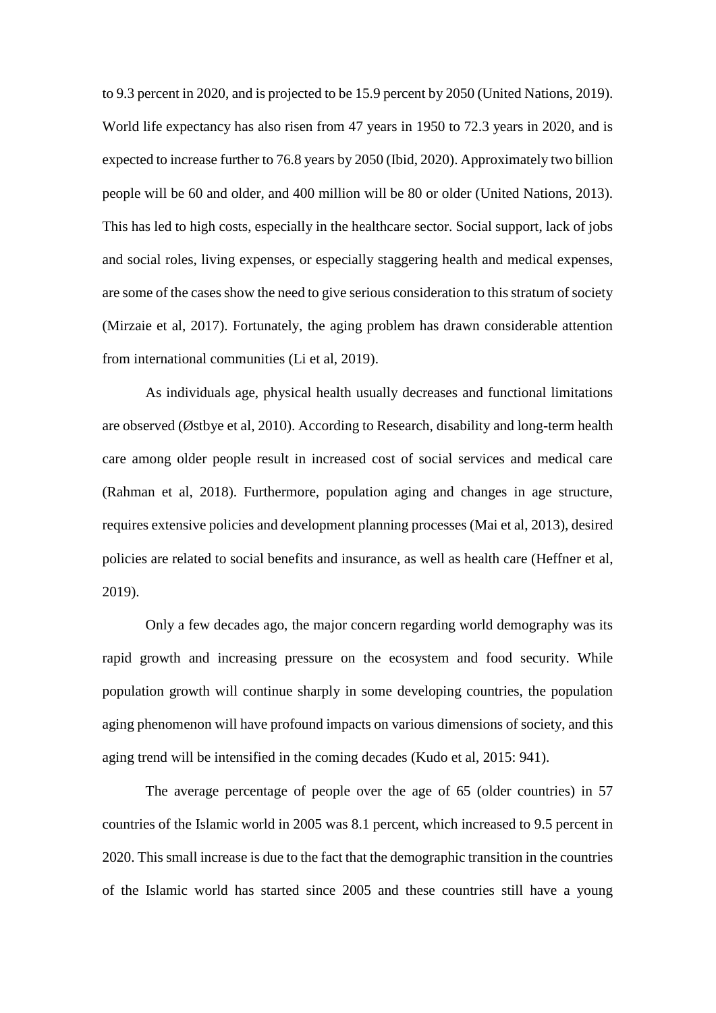to 9.3 percent in 2020, and is projected to be 15.9 percent by 2050 (United Nations, 2019). World life expectancy has also risen from 47 years in 1950 to 72.3 years in 2020, and is expected to increase further to 76.8 years by 2050 (Ibid, 2020). Approximately two billion people will be 60 and older, and 400 million will be 80 or older (United Nations, 2013). This has led to high costs, especially in the healthcare sector. Social support, lack of jobs and social roles, living expenses, or especially staggering health and medical expenses, are some of the cases show the need to give serious consideration to this stratum of society (Mirzaie et al, 2017). Fortunately, the aging problem has drawn considerable attention from international communities (Li et al, 2019).

As individuals age, physical health usually decreases and functional limitations are observed (Østbye et al, 2010). According to Research, disability and long-term health care among older people result in increased cost of social services and medical care (Rahman et al, 2018). Furthermore, population aging and changes in age structure, requires extensive policies and development planning processes (Mai et al, 2013), desired policies are related to social benefits and insurance, as well as health care (Heffner et al, 2019).

Only a few decades ago, the major concern regarding world demography was its rapid growth and increasing pressure on the ecosystem and food security. While population growth will continue sharply in some developing countries, the population aging phenomenon will have profound impacts on various dimensions of society, and this aging trend will be intensified in the coming decades (Kudo et al, 2015: 941).

The average percentage of people over the age of 65 (older countries) in 57 countries of the Islamic world in 2005 was 8.1 percent, which increased to 9.5 percent in 2020. This small increase is due to the fact that the demographic transition in the countries of the Islamic world has started since 2005 and these countries still have a young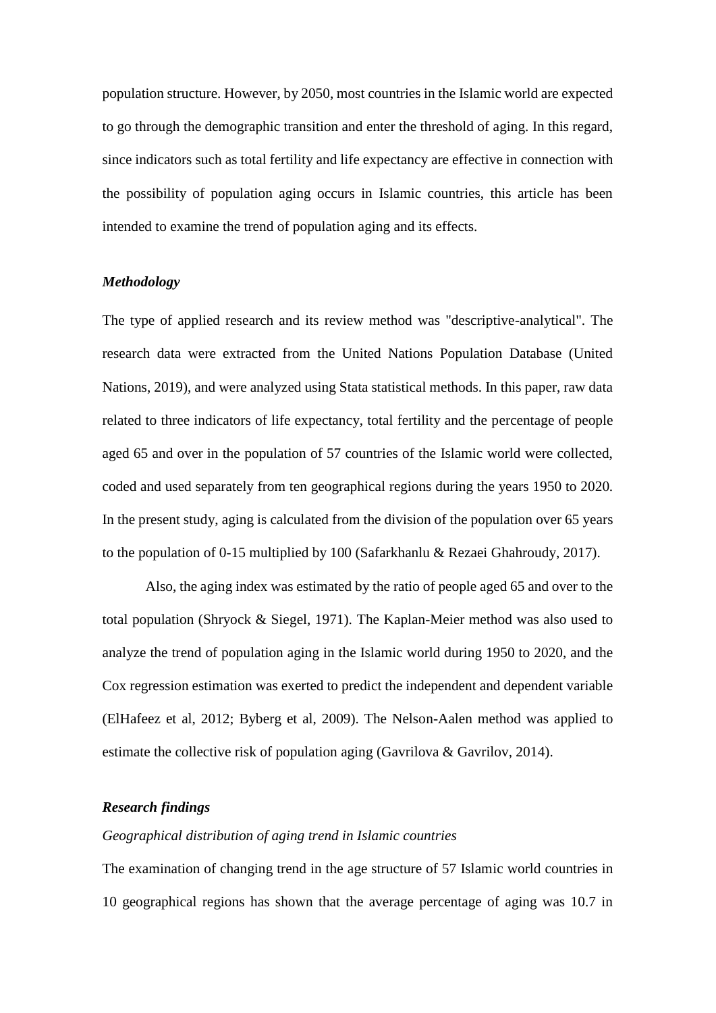population structure. However, by 2050, most countries in the Islamic world are expected to go through the demographic transition and enter the threshold of aging. In this regard, since indicators such as total fertility and life expectancy are effective in connection with the possibility of population aging occurs in Islamic countries, this article has been intended to examine the trend of population aging and its effects.

#### *Methodology*

The type of applied research and its review method was "descriptive-analytical". The research data were extracted from the United Nations Population Database (United Nations, 2019), and were analyzed using Stata statistical methods. In this paper, raw data related to three indicators of life expectancy, total fertility and the percentage of people aged 65 and over in the population of 57 countries of the Islamic world were collected, coded and used separately from ten geographical regions during the years 1950 to 2020. In the present study, aging is calculated from the division of the population over 65 years to the population of 0-15 multiplied by 100 (Safarkhanlu & Rezaei Ghahroudy, 2017).

Also, the aging index was estimated by the ratio of people aged 65 and over to the total population (Shryock & Siegel, 1971). The Kaplan-Meier method was also used to analyze the trend of population aging in the Islamic world during 1950 to 2020, and the Cox regression estimation was exerted to predict the independent and dependent variable (ElHafeez et al, 2012; Byberg et al, 2009). The Nelson-Aalen method was applied to estimate the collective risk of population aging (Gavrilova & Gavrilov, 2014).

#### *Research findings*

# *Geographical distribution of aging trend in Islamic countries*

The examination of changing trend in the age structure of 57 Islamic world countries in 10 geographical regions has shown that the average percentage of aging was 10.7 in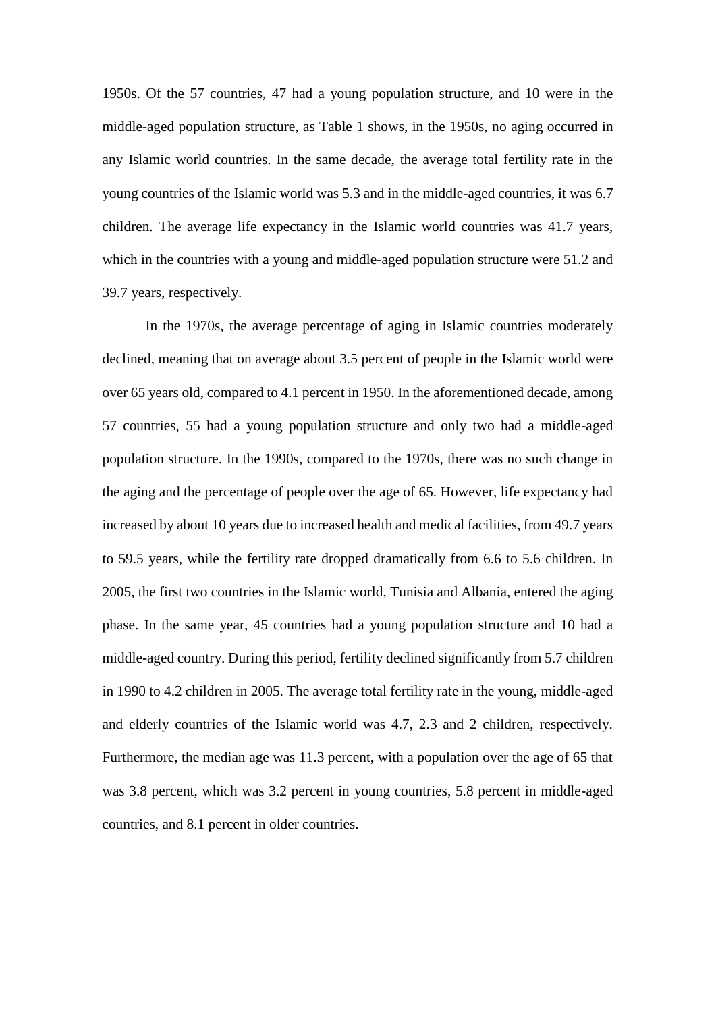1950s. Of the 57 countries, 47 had a young population structure, and 10 were in the middle-aged population structure, as Table 1 shows, in the 1950s, no aging occurred in any Islamic world countries. In the same decade, the average total fertility rate in the young countries of the Islamic world was 5.3 and in the middle-aged countries, it was 6.7 children. The average life expectancy in the Islamic world countries was 41.7 years, which in the countries with a young and middle-aged population structure were 51.2 and 39.7 years, respectively.

In the 1970s, the average percentage of aging in Islamic countries moderately declined, meaning that on average about 3.5 percent of people in the Islamic world were over 65 years old, compared to 4.1 percent in 1950. In the aforementioned decade, among 57 countries, 55 had a young population structure and only two had a middle-aged population structure. In the 1990s, compared to the 1970s, there was no such change in the aging and the percentage of people over the age of 65. However, life expectancy had increased by about 10 years due to increased health and medical facilities, from 49.7 years to 59.5 years, while the fertility rate dropped dramatically from 6.6 to 5.6 children. In 2005, the first two countries in the Islamic world, Tunisia and Albania, entered the aging phase. In the same year, 45 countries had a young population structure and 10 had a middle-aged country. During this period, fertility declined significantly from 5.7 children in 1990 to 4.2 children in 2005. The average total fertility rate in the young, middle-aged and elderly countries of the Islamic world was 4.7, 2.3 and 2 children, respectively. Furthermore, the median age was 11.3 percent, with a population over the age of 65 that was 3.8 percent, which was 3.2 percent in young countries, 5.8 percent in middle-aged countries, and 8.1 percent in older countries.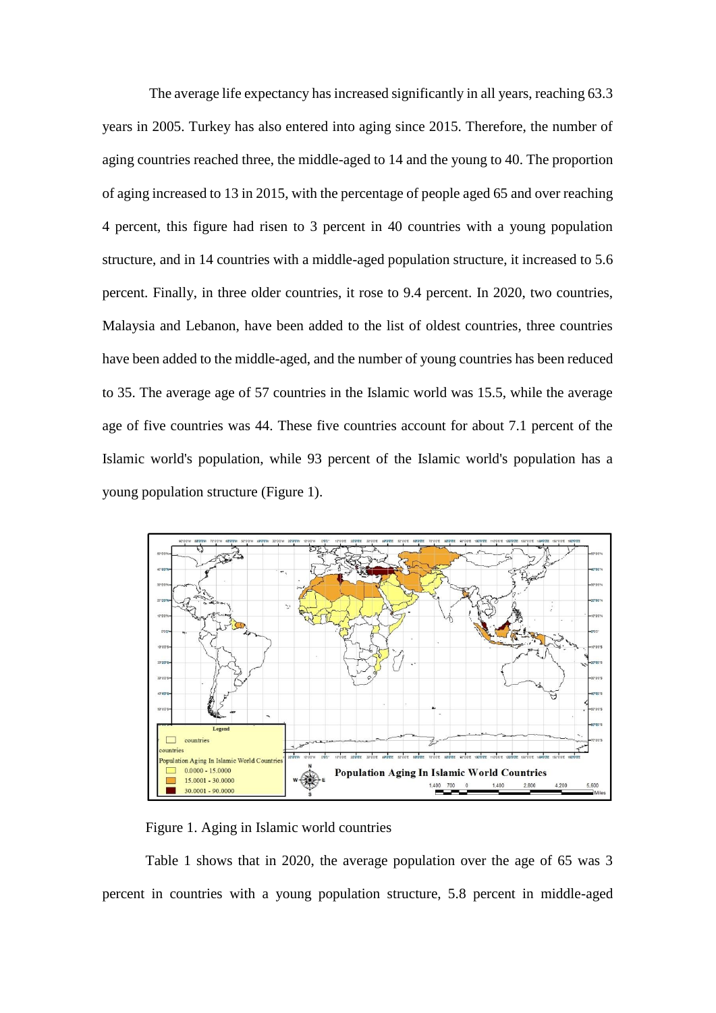The average life expectancy has increased significantly in all years, reaching 63.3 years in 2005. Turkey has also entered into aging since 2015. Therefore, the number of aging countries reached three, the middle-aged to 14 and the young to 40. The proportion of aging increased to 13 in 2015, with the percentage of people aged 65 and over reaching 4 percent, this figure had risen to 3 percent in 40 countries with a young population structure, and in 14 countries with a middle-aged population structure, it increased to 5.6 percent. Finally, in three older countries, it rose to 9.4 percent. In 2020, two countries, Malaysia and Lebanon, have been added to the list of oldest countries, three countries have been added to the middle-aged, and the number of young countries has been reduced to 35. The average age of 57 countries in the Islamic world was 15.5, while the average age of five countries was 44. These five countries account for about 7.1 percent of the Islamic world's population, while 93 percent of the Islamic world's population has a young population structure (Figure 1).



Figure 1. Aging in Islamic world countries

Table 1 shows that in 2020, the average population over the age of 65 was 3 percent in countries with a young population structure, 5.8 percent in middle-aged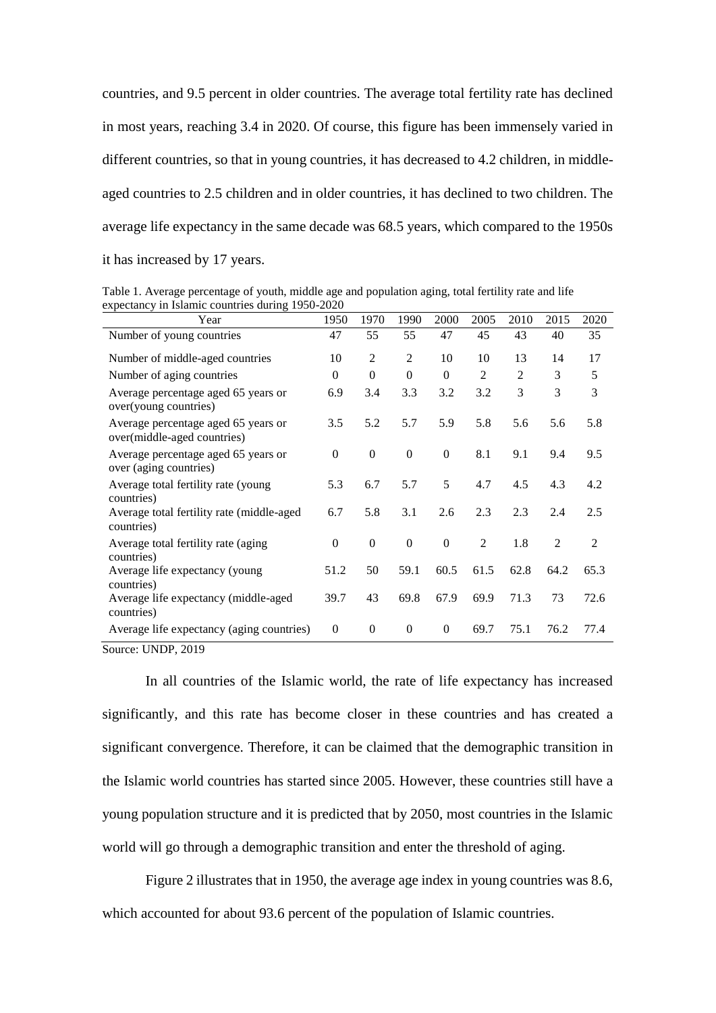countries, and 9.5 percent in older countries. The average total fertility rate has declined in most years, reaching 3.4 in 2020. Of course, this figure has been immensely varied in different countries, so that in young countries, it has decreased to 4.2 children, in middleaged countries to 2.5 children and in older countries, it has declined to two children. The average life expectancy in the same decade was 68.5 years, which compared to the 1950s it has increased by 17 years.

Table 1. Average percentage of youth, middle age and population aging, total fertility rate and life expectancy in Islamic countries during 1950-2020

| Year                                                               | 1950     | 1970           | 1990           | 2000           | 2005           | 2010           | 2015 | 2020           |
|--------------------------------------------------------------------|----------|----------------|----------------|----------------|----------------|----------------|------|----------------|
| Number of young countries                                          | 47       | 55             | 55             | 47             | 45             | 43             | 40   | 35             |
| Number of middle-aged countries                                    | 10       | $\overline{2}$ | 2              | 10             | 10             | 13             | 14   | 17             |
| Number of aging countries                                          | $\Omega$ | $\Omega$       | $\Omega$       | $\overline{0}$ | $\overline{2}$ | $\overline{c}$ | 3    | 5              |
| Average percentage aged 65 years or<br>over(young countries)       | 6.9      | 3.4            | 3.3            | 3.2            | 3.2            | 3              | 3    | 3              |
| Average percentage aged 65 years or<br>over(middle-aged countries) | 3.5      | 5.2            | 5.7            | 5.9            | 5.8            | 5.6            | 5.6  | 5.8            |
| Average percentage aged 65 years or<br>over (aging countries)      | $\theta$ | $\mathbf{0}$   | $\overline{0}$ | $\mathbf{0}$   | 8.1            | 9.1            | 9.4  | 9.5            |
| Average total fertility rate (young<br>countries)                  | 5.3      | 6.7            | 5.7            | 5              | 4.7            | 4.5            | 4.3  | 4.2            |
| Average total fertility rate (middle-aged<br>countries)            | 6.7      | 5.8            | 3.1            | 2.6            | 2.3            | 2.3            | 2.4  | 2.5            |
| Average total fertility rate (aging)<br>countries)                 | $\theta$ | $\Omega$       | $\Omega$       | $\mathbf{0}$   | 2              | 1.8            | 2    | $\overline{2}$ |
| Average life expectancy (young<br>countries)                       | 51.2     | 50             | 59.1           | 60.5           | 61.5           | 62.8           | 64.2 | 65.3           |
| Average life expectancy (middle-aged<br>countries)                 | 39.7     | 43             | 69.8           | 67.9           | 69.9           | 71.3           | 73   | 72.6           |
| Average life expectancy (aging countries)                          | $\theta$ | $\mathbf{0}$   | $\overline{0}$ | $\overline{0}$ | 69.7           | 75.1           | 76.2 | 77.4           |

Source: UNDP, 2019

In all countries of the Islamic world, the rate of life expectancy has increased significantly, and this rate has become closer in these countries and has created a significant convergence. Therefore, it can be claimed that the demographic transition in the Islamic world countries has started since 2005. However, these countries still have a young population structure and it is predicted that by 2050, most countries in the Islamic world will go through a demographic transition and enter the threshold of aging.

Figure 2 illustrates that in 1950, the average age index in young countries was 8.6, which accounted for about 93.6 percent of the population of Islamic countries.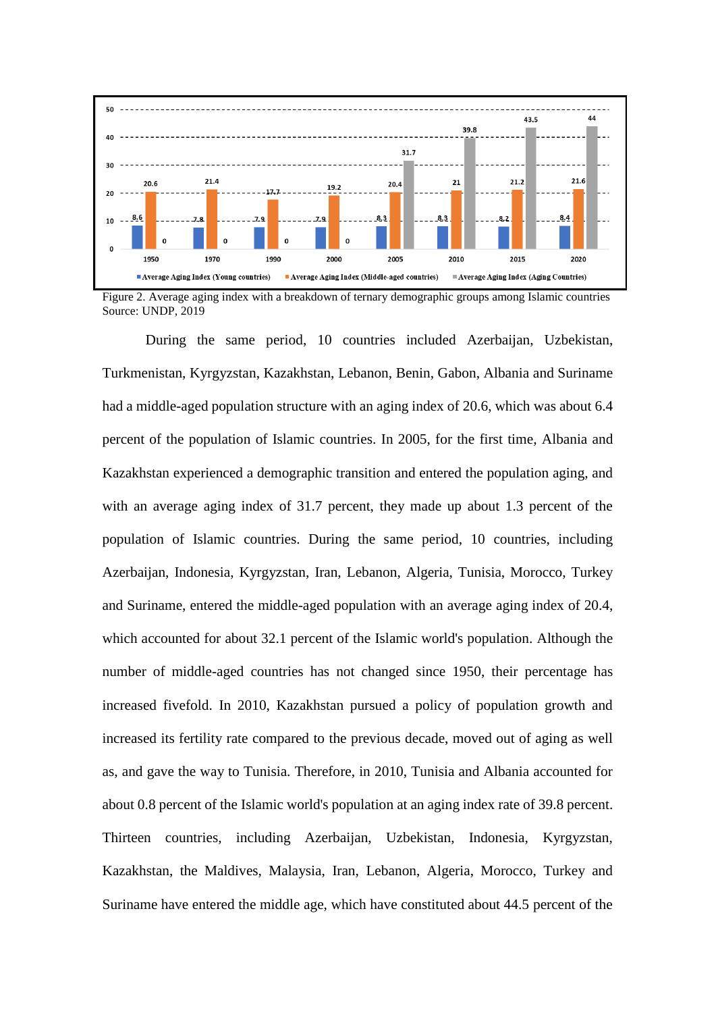

Figure 2. Average aging index with a breakdown of ternary demographic groups among Islamic countries Source: UNDP, 2019

During the same period, 10 countries included Azerbaijan, Uzbekistan, Turkmenistan, Kyrgyzstan, Kazakhstan, Lebanon, Benin, Gabon, Albania and Suriname had a middle-aged population structure with an aging index of 20.6, which was about 6.4 percent of the population of Islamic countries. In 2005, for the first time, Albania and Kazakhstan experienced a demographic transition and entered the population aging, and with an average aging index of 31.7 percent, they made up about 1.3 percent of the population of Islamic countries. During the same period, 10 countries, including Azerbaijan, Indonesia, Kyrgyzstan, Iran, Lebanon, Algeria, Tunisia, Morocco, Turkey and Suriname, entered the middle-aged population with an average aging index of 20.4, which accounted for about 32.1 percent of the Islamic world's population. Although the number of middle-aged countries has not changed since 1950, their percentage has increased fivefold. In 2010, Kazakhstan pursued a policy of population growth and increased its fertility rate compared to the previous decade, moved out of aging as well as, and gave the way to Tunisia. Therefore, in 2010, Tunisia and Albania accounted for about 0.8 percent of the Islamic world's population at an aging index rate of 39.8 percent. Thirteen countries, including Azerbaijan, Uzbekistan, Indonesia, Kyrgyzstan, Kazakhstan, the Maldives, Malaysia, Iran, Lebanon, Algeria, Morocco, Turkey and Suriname have entered the middle age, which have constituted about 44.5 percent of the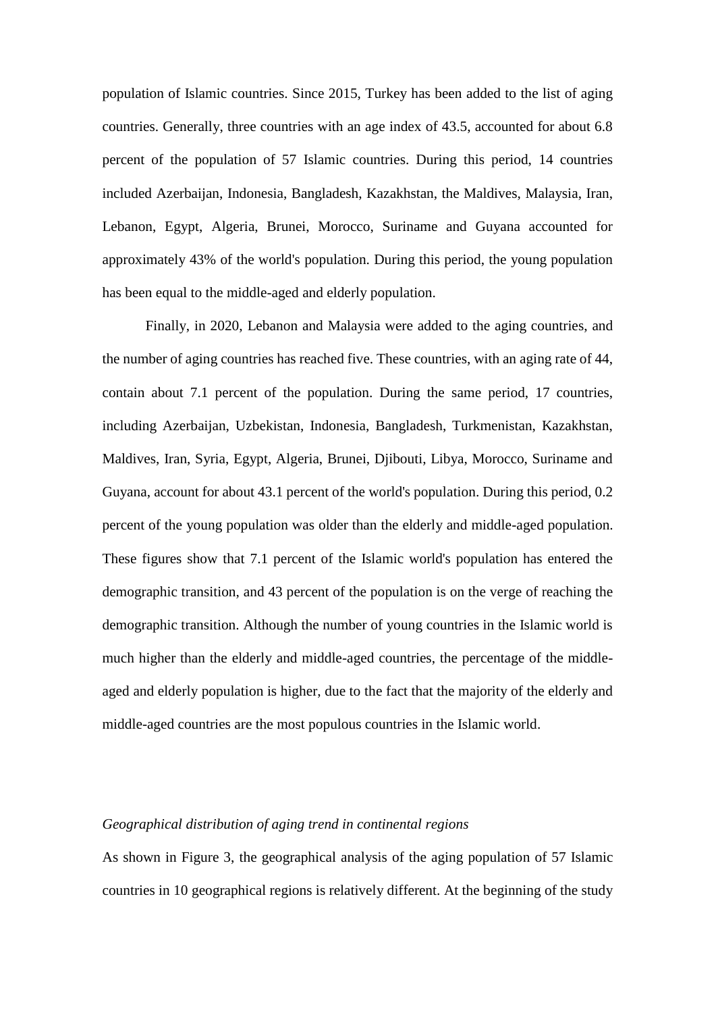population of Islamic countries. Since 2015, Turkey has been added to the list of aging countries. Generally, three countries with an age index of 43.5, accounted for about 6.8 percent of the population of 57 Islamic countries. During this period, 14 countries included Azerbaijan, Indonesia, Bangladesh, Kazakhstan, the Maldives, Malaysia, Iran, Lebanon, Egypt, Algeria, Brunei, Morocco, Suriname and Guyana accounted for approximately 43% of the world's population. During this period, the young population has been equal to the middle-aged and elderly population.

Finally, in 2020, Lebanon and Malaysia were added to the aging countries, and the number of aging countries has reached five. These countries, with an aging rate of 44, contain about 7.1 percent of the population. During the same period, 17 countries, including Azerbaijan, Uzbekistan, Indonesia, Bangladesh, Turkmenistan, Kazakhstan, Maldives, Iran, Syria, Egypt, Algeria, Brunei, Djibouti, Libya, Morocco, Suriname and Guyana, account for about 43.1 percent of the world's population. During this period, 0.2 percent of the young population was older than the elderly and middle-aged population. These figures show that 7.1 percent of the Islamic world's population has entered the demographic transition, and 43 percent of the population is on the verge of reaching the demographic transition. Although the number of young countries in the Islamic world is much higher than the elderly and middle-aged countries, the percentage of the middleaged and elderly population is higher, due to the fact that the majority of the elderly and middle-aged countries are the most populous countries in the Islamic world.

## *Geographical distribution of aging trend in continental regions*

As shown in Figure 3, the geographical analysis of the aging population of 57 Islamic countries in 10 geographical regions is relatively different. At the beginning of the study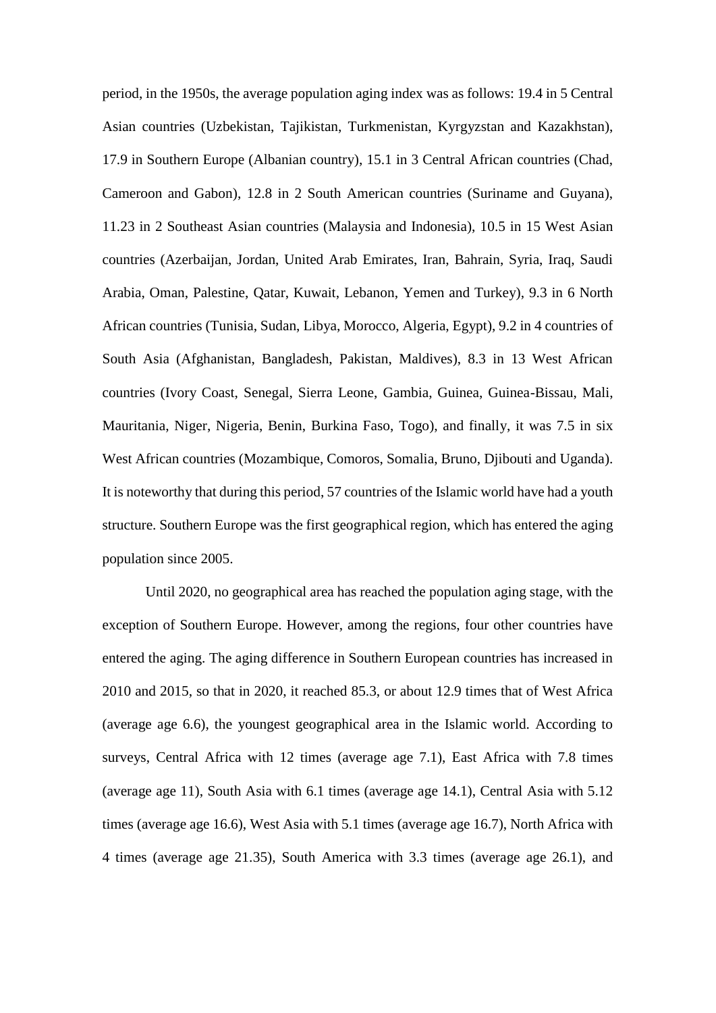period, in the 1950s, the average population aging index was as follows: 19.4 in 5 Central Asian countries (Uzbekistan, Tajikistan, Turkmenistan, Kyrgyzstan and Kazakhstan), 17.9 in Southern Europe (Albanian country), 15.1 in 3 Central African countries (Chad, Cameroon and Gabon), 12.8 in 2 South American countries (Suriname and Guyana), 11.23 in 2 Southeast Asian countries (Malaysia and Indonesia), 10.5 in 15 West Asian countries (Azerbaijan, Jordan, United Arab Emirates, Iran, Bahrain, Syria, Iraq, Saudi Arabia, Oman, Palestine, Qatar, Kuwait, Lebanon, Yemen and Turkey), 9.3 in 6 North African countries (Tunisia, Sudan, Libya, Morocco, Algeria, Egypt), 9.2 in 4 countries of South Asia (Afghanistan, Bangladesh, Pakistan, Maldives), 8.3 in 13 West African countries (Ivory Coast, Senegal, Sierra Leone, Gambia, Guinea, Guinea-Bissau, Mali, Mauritania, Niger, Nigeria, Benin, Burkina Faso, Togo), and finally, it was 7.5 in six West African countries (Mozambique, Comoros, Somalia, Bruno, Djibouti and Uganda). It is noteworthy that during this period, 57 countries of the Islamic world have had a youth structure. Southern Europe was the first geographical region, which has entered the aging population since 2005.

Until 2020, no geographical area has reached the population aging stage, with the exception of Southern Europe. However, among the regions, four other countries have entered the aging. The aging difference in Southern European countries has increased in 2010 and 2015, so that in 2020, it reached 85.3, or about 12.9 times that of West Africa (average age 6.6), the youngest geographical area in the Islamic world. According to surveys, Central Africa with 12 times (average age 7.1), East Africa with 7.8 times (average age 11), South Asia with 6.1 times (average age 14.1), Central Asia with 5.12 times (average age 16.6), West Asia with 5.1 times (average age 16.7), North Africa with 4 times (average age 21.35), South America with 3.3 times (average age 26.1), and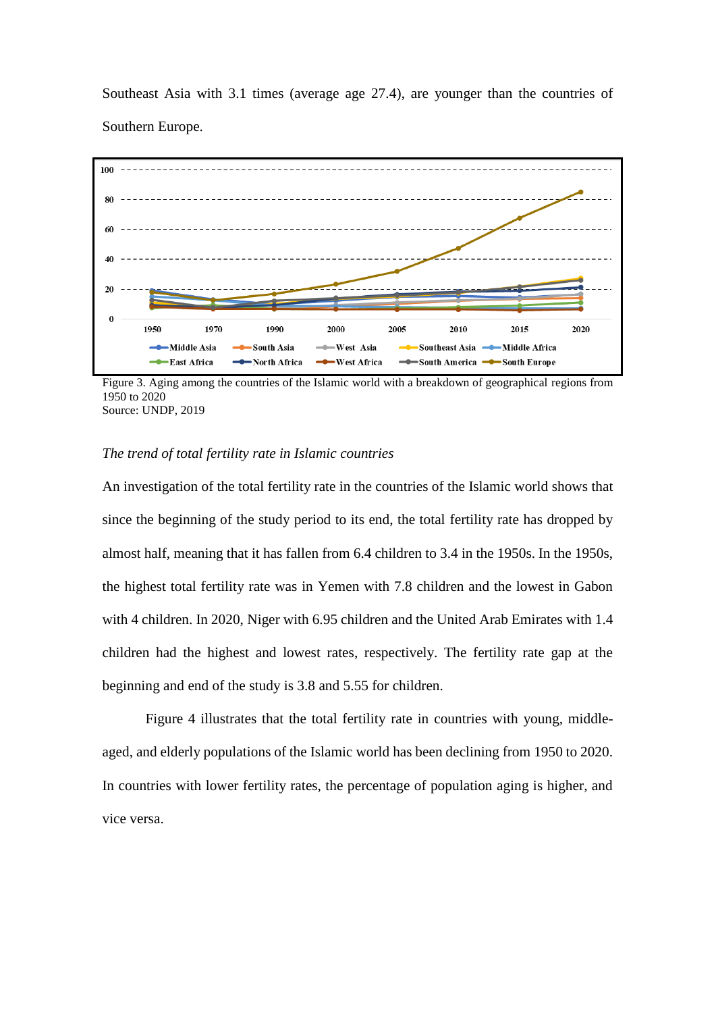Southeast Asia with 3.1 times (average age 27.4), are younger than the countries of Southern Europe.



Figure 3. Aging among the countries of the Islamic world with a breakdown of geographical regions from 1950 to 2020 Source: UNDP, 2019

### *The trend of total fertility rate in Islamic countries*

An investigation of the total fertility rate in the countries of the Islamic world shows that since the beginning of the study period to its end, the total fertility rate has dropped by almost half, meaning that it has fallen from 6.4 children to 3.4 in the 1950s. In the 1950s, the highest total fertility rate was in Yemen with 7.8 children and the lowest in Gabon with 4 children. In 2020, Niger with 6.95 children and the United Arab Emirates with 1.4 children had the highest and lowest rates, respectively. The fertility rate gap at the beginning and end of the study is 3.8 and 5.55 for children.

Figure 4 illustrates that the total fertility rate in countries with young, middleaged, and elderly populations of the Islamic world has been declining from 1950 to 2020. In countries with lower fertility rates, the percentage of population aging is higher, and vice versa.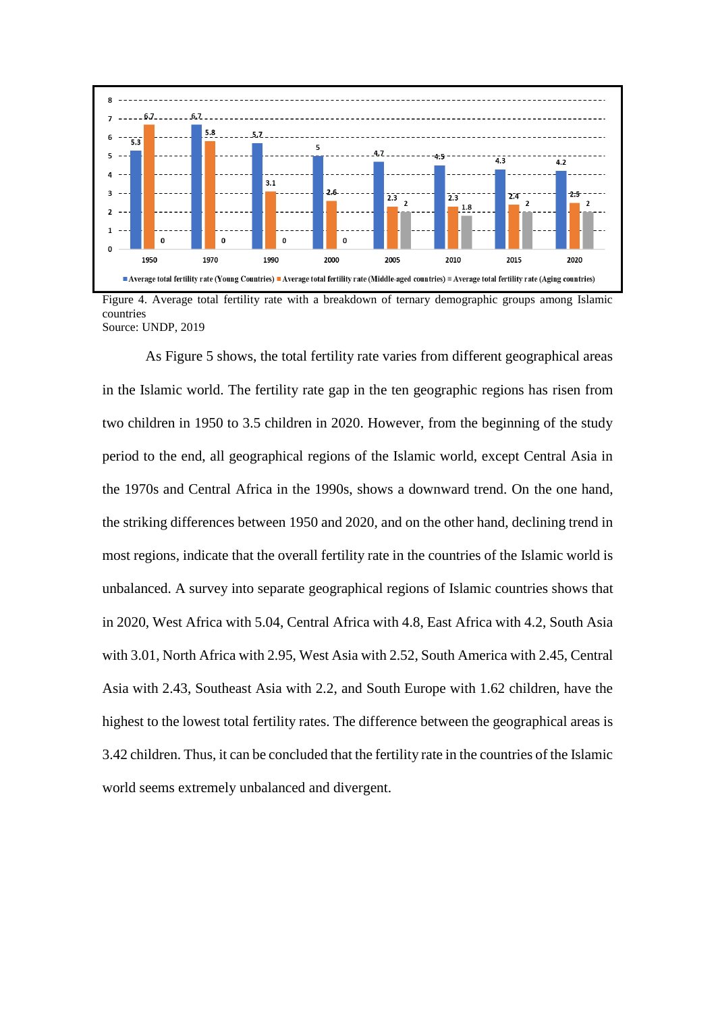

Figure 4. Average total fertility rate with a breakdown of ternary demographic groups among Islamic countries Source: UNDP, 2019

As Figure 5 shows, the total fertility rate varies from different geographical areas in the Islamic world. The fertility rate gap in the ten geographic regions has risen from two children in 1950 to 3.5 children in 2020. However, from the beginning of the study period to the end, all geographical regions of the Islamic world, except Central Asia in the 1970s and Central Africa in the 1990s, shows a downward trend. On the one hand, the striking differences between 1950 and 2020, and on the other hand, declining trend in most regions, indicate that the overall fertility rate in the countries of the Islamic world is unbalanced. A survey into separate geographical regions of Islamic countries shows that in 2020, West Africa with 5.04, Central Africa with 4.8, East Africa with 4.2, South Asia with 3.01, North Africa with 2.95, West Asia with 2.52, South America with 2.45, Central Asia with 2.43, Southeast Asia with 2.2, and South Europe with 1.62 children, have the highest to the lowest total fertility rates. The difference between the geographical areas is 3.42 children. Thus, it can be concluded that the fertility rate in the countries of the Islamic world seems extremely unbalanced and divergent.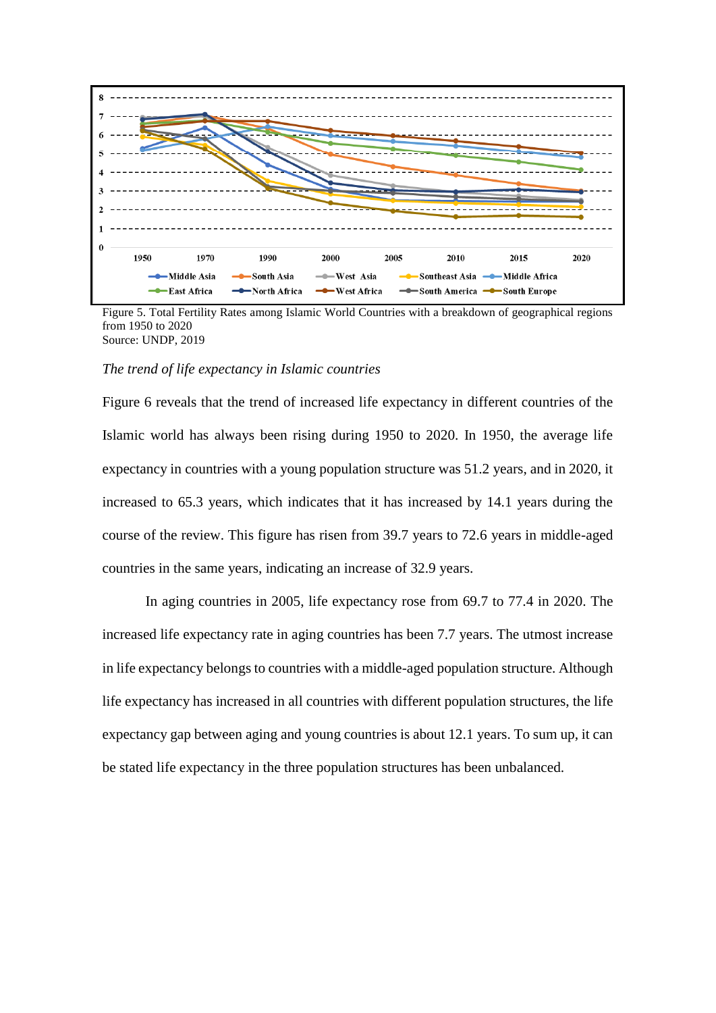

Figure 5. Total Fertility Rates among Islamic World Countries with a breakdown of geographical regions from 1950 to 2020 Source: UNDP, 2019

#### *The trend of life expectancy in Islamic countries*

Figure 6 reveals that the trend of increased life expectancy in different countries of the Islamic world has always been rising during 1950 to 2020. In 1950, the average life expectancy in countries with a young population structure was 51.2 years, and in 2020, it increased to 65.3 years, which indicates that it has increased by 14.1 years during the course of the review. This figure has risen from 39.7 years to 72.6 years in middle-aged countries in the same years, indicating an increase of 32.9 years.

In aging countries in 2005, life expectancy rose from 69.7 to 77.4 in 2020. The increased life expectancy rate in aging countries has been 7.7 years. The utmost increase in life expectancy belongs to countries with a middle-aged population structure. Although life expectancy has increased in all countries with different population structures, the life expectancy gap between aging and young countries is about 12.1 years. To sum up, it can be stated life expectancy in the three population structures has been unbalanced.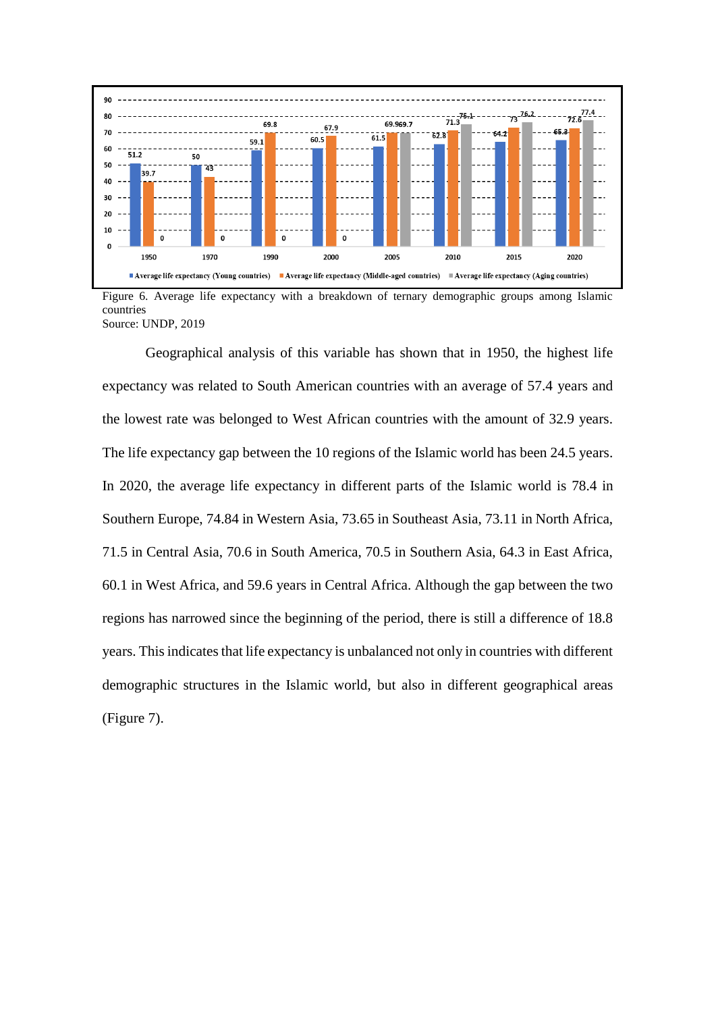

Figure 6. Average life expectancy with a breakdown of ternary demographic groups among Islamic countries Source: UNDP, 2019

Geographical analysis of this variable has shown that in 1950, the highest life expectancy was related to South American countries with an average of 57.4 years and the lowest rate was belonged to West African countries with the amount of 32.9 years. The life expectancy gap between the 10 regions of the Islamic world has been 24.5 years. In 2020, the average life expectancy in different parts of the Islamic world is 78.4 in Southern Europe, 74.84 in Western Asia, 73.65 in Southeast Asia, 73.11 in North Africa, 71.5 in Central Asia, 70.6 in South America, 70.5 in Southern Asia, 64.3 in East Africa, 60.1 in West Africa, and 59.6 years in Central Africa. Although the gap between the two regions has narrowed since the beginning of the period, there is still a difference of 18.8 years. This indicates that life expectancy is unbalanced not only in countries with different demographic structures in the Islamic world, but also in different geographical areas (Figure 7).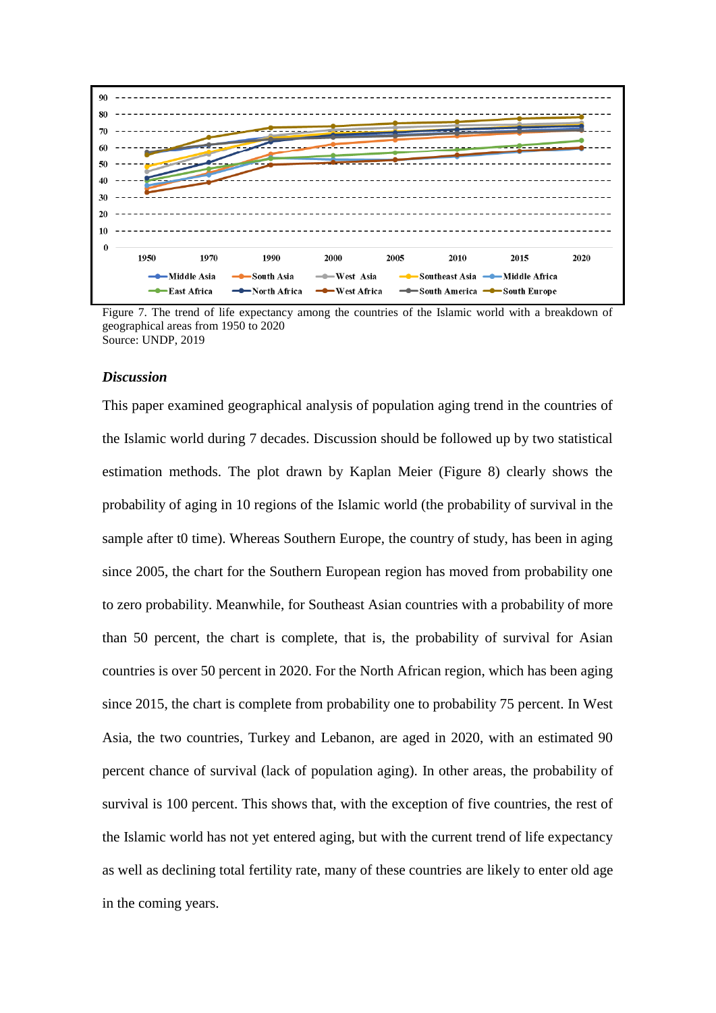

Figure 7. The trend of life expectancy among the countries of the Islamic world with a breakdown of geographical areas from 1950 to 2020 Source: UNDP, 2019

#### *Discussion*

This paper examined geographical analysis of population aging trend in the countries of the Islamic world during 7 decades. Discussion should be followed up by two statistical estimation methods. The plot drawn by Kaplan Meier (Figure 8) clearly shows the probability of aging in 10 regions of the Islamic world (the probability of survival in the sample after t0 time). Whereas Southern Europe, the country of study, has been in aging since 2005, the chart for the Southern European region has moved from probability one to zero probability. Meanwhile, for Southeast Asian countries with a probability of more than 50 percent, the chart is complete, that is, the probability of survival for Asian countries is over 50 percent in 2020. For the North African region, which has been aging since 2015, the chart is complete from probability one to probability 75 percent. In West Asia, the two countries, Turkey and Lebanon, are aged in 2020, with an estimated 90 percent chance of survival (lack of population aging). In other areas, the probability of survival is 100 percent. This shows that, with the exception of five countries, the rest of the Islamic world has not yet entered aging, but with the current trend of life expectancy as well as declining total fertility rate, many of these countries are likely to enter old age in the coming years.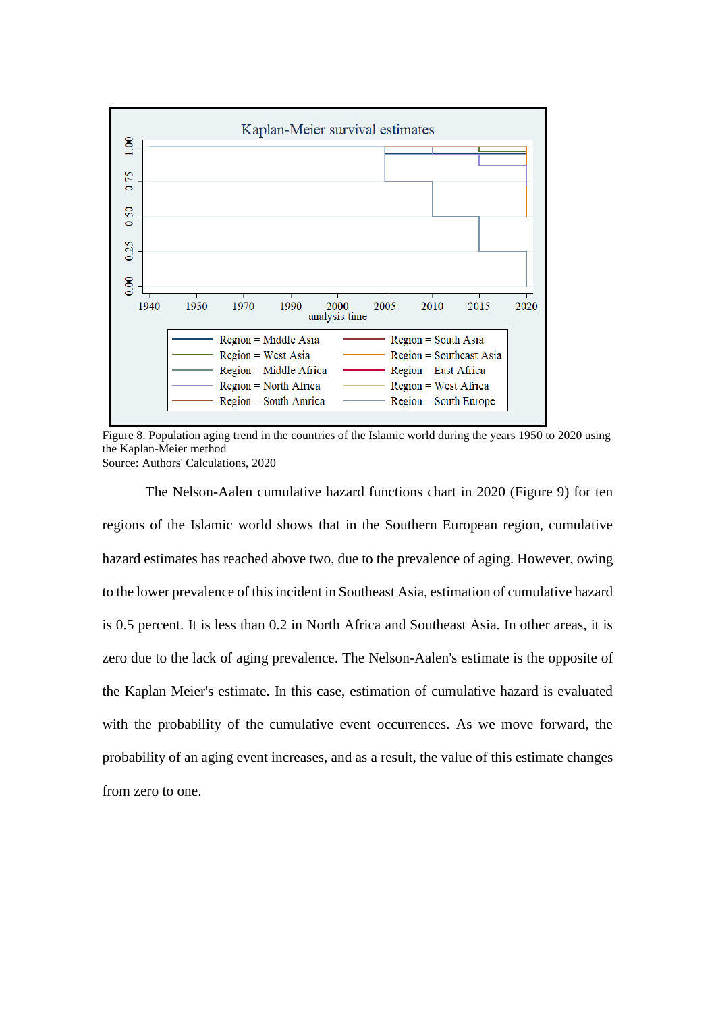

Figure 8. Population aging trend in the countries of the Islamic world during the years 1950 to 2020 using the Kaplan-Meier method Source: Authors' Calculations, 2020

The Nelson-Aalen cumulative hazard functions chart in 2020 (Figure 9) for ten regions of the Islamic world shows that in the Southern European region, cumulative hazard estimates has reached above two, due to the prevalence of aging. However, owing to the lower prevalence of this incident in Southeast Asia, estimation of cumulative hazard is 0.5 percent. It is less than 0.2 in North Africa and Southeast Asia. In other areas, it is zero due to the lack of aging prevalence. The Nelson-Aalen's estimate is the opposite of the Kaplan Meier's estimate. In this case, estimation of cumulative hazard is evaluated with the probability of the cumulative event occurrences. As we move forward, the probability of an aging event increases, and as a result, the value of this estimate changes from zero to one.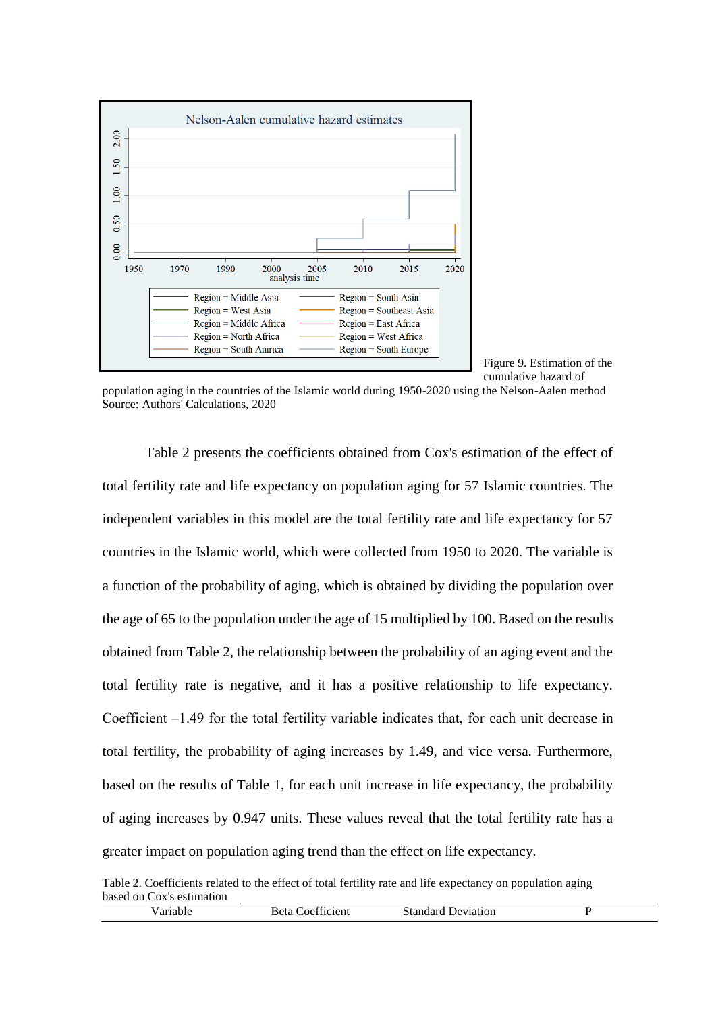

Figure 9. Estimation of the cumulative hazard of

population aging in the countries of the Islamic world during 1950-2020 using the Nelson-Aalen method Source: Authors' Calculations, 2020

Table 2 presents the coefficients obtained from Cox's estimation of the effect of total fertility rate and life expectancy on population aging for 57 Islamic countries. The independent variables in this model are the total fertility rate and life expectancy for 57 countries in the Islamic world, which were collected from 1950 to 2020. The variable is a function of the probability of aging, which is obtained by dividing the population over the age of 65 to the population under the age of 15 multiplied by 100. Based on the results obtained from Table 2, the relationship between the probability of an aging event and the total fertility rate is negative, and it has a positive relationship to life expectancy. Coefficient  $-1.49$  for the total fertility variable indicates that, for each unit decrease in total fertility, the probability of aging increases by 1.49, and vice versa. Furthermore, based on the results of Table 1, for each unit increase in life expectancy, the probability of aging increases by 0.947 units. These values reveal that the total fertility rate has a greater impact on population aging trend than the effect on life expectancy.

Table 2. Coefficients related to the effect of total fertility rate and life expectancy on population aging based on Cox's estimation

| 'arıable | Beta f<br>Coefficient | Standard<br>Deviation |  |
|----------|-----------------------|-----------------------|--|
|          |                       |                       |  |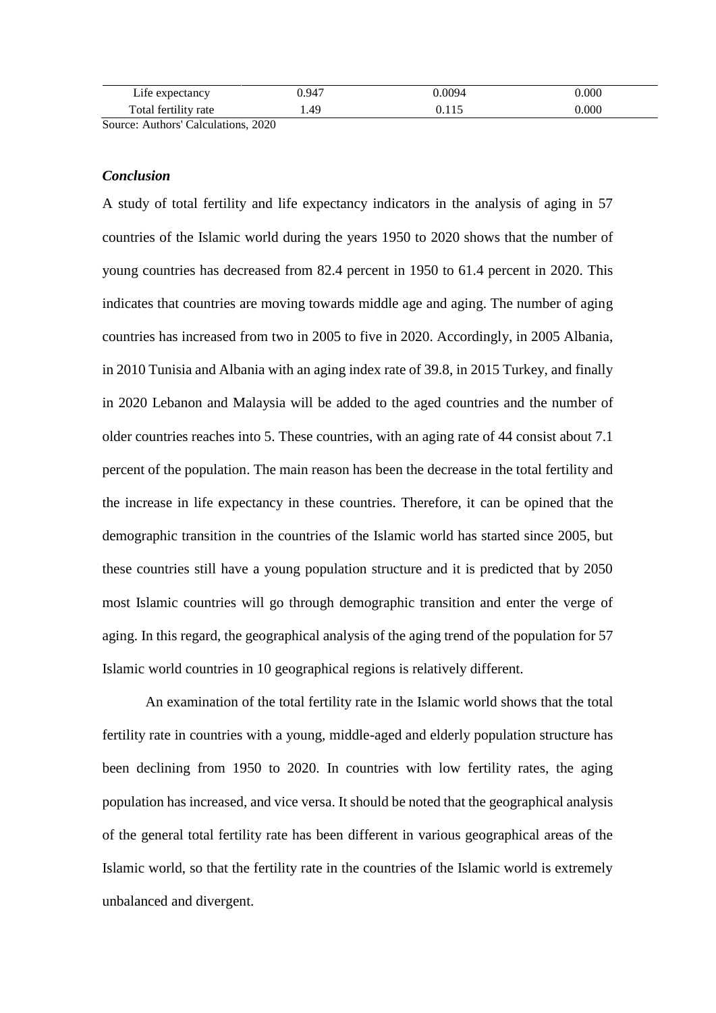| $\mathbf{r}$ . $\mathbf{r}$<br>$\mathcal{L}$ and $\mathcal{L}$<br>ne<br>лапс | ).947 | 0094 | 000 |
|------------------------------------------------------------------------------|-------|------|-----|
| m<br>`otal<br>tertility<br>rate<br>.                                         | 49. د |      | 000 |

Source: Authors' Calculations, 2020

#### *Conclusion*

A study of total fertility and life expectancy indicators in the analysis of aging in 57 countries of the Islamic world during the years 1950 to 2020 shows that the number of young countries has decreased from 82.4 percent in 1950 to 61.4 percent in 2020. This indicates that countries are moving towards middle age and aging. The number of aging countries has increased from two in 2005 to five in 2020. Accordingly, in 2005 Albania, in 2010 Tunisia and Albania with an aging index rate of 39.8, in 2015 Turkey, and finally in 2020 Lebanon and Malaysia will be added to the aged countries and the number of older countries reaches into 5. These countries, with an aging rate of 44 consist about 7.1 percent of the population. The main reason has been the decrease in the total fertility and the increase in life expectancy in these countries. Therefore, it can be opined that the demographic transition in the countries of the Islamic world has started since 2005, but these countries still have a young population structure and it is predicted that by 2050 most Islamic countries will go through demographic transition and enter the verge of aging. In this regard, the geographical analysis of the aging trend of the population for 57 Islamic world countries in 10 geographical regions is relatively different.

An examination of the total fertility rate in the Islamic world shows that the total fertility rate in countries with a young, middle-aged and elderly population structure has been declining from 1950 to 2020. In countries with low fertility rates, the aging population has increased, and vice versa. It should be noted that the geographical analysis of the general total fertility rate has been different in various geographical areas of the Islamic world, so that the fertility rate in the countries of the Islamic world is extremely unbalanced and divergent.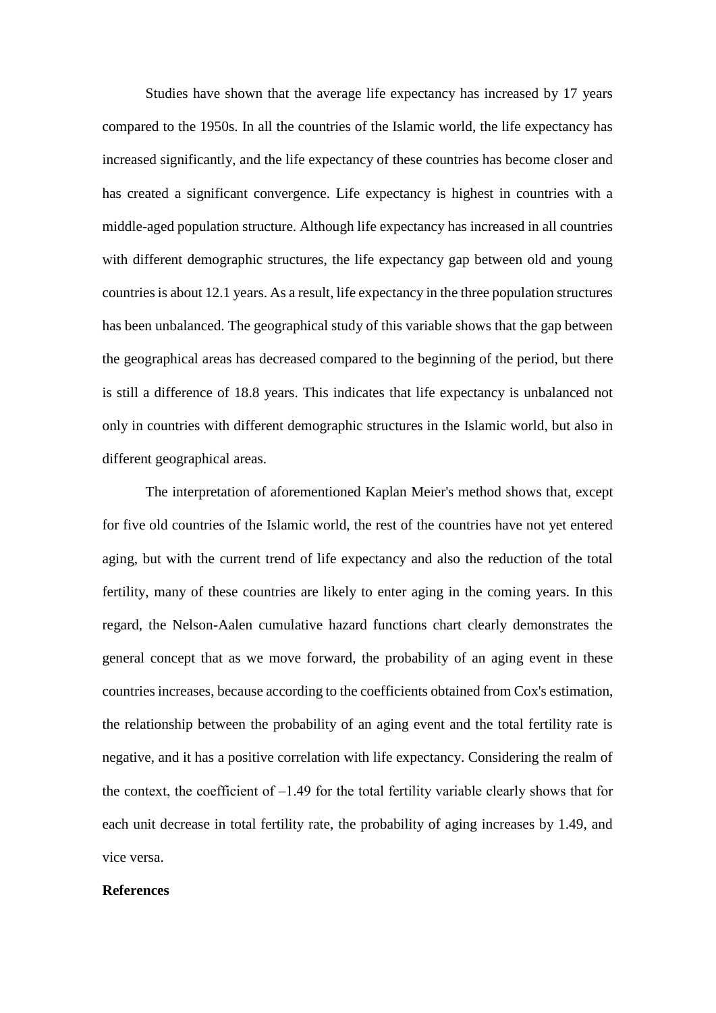Studies have shown that the average life expectancy has increased by 17 years compared to the 1950s. In all the countries of the Islamic world, the life expectancy has increased significantly, and the life expectancy of these countries has become closer and has created a significant convergence. Life expectancy is highest in countries with a middle-aged population structure. Although life expectancy has increased in all countries with different demographic structures, the life expectancy gap between old and young countries is about 12.1 years. As a result, life expectancy in the three population structures has been unbalanced. The geographical study of this variable shows that the gap between the geographical areas has decreased compared to the beginning of the period, but there is still a difference of 18.8 years. This indicates that life expectancy is unbalanced not only in countries with different demographic structures in the Islamic world, but also in different geographical areas.

The interpretation of aforementioned Kaplan Meier's method shows that, except for five old countries of the Islamic world, the rest of the countries have not yet entered aging, but with the current trend of life expectancy and also the reduction of the total fertility, many of these countries are likely to enter aging in the coming years. In this regard, the Nelson-Aalen cumulative hazard functions chart clearly demonstrates the general concept that as we move forward, the probability of an aging event in these countries increases, because according to the coefficients obtained from Cox's estimation, the relationship between the probability of an aging event and the total fertility rate is negative, and it has a positive correlation with life expectancy. Considering the realm of the context, the coefficient of  $-1.49$  for the total fertility variable clearly shows that for each unit decrease in total fertility rate, the probability of aging increases by 1.49, and vice versa.

#### **References**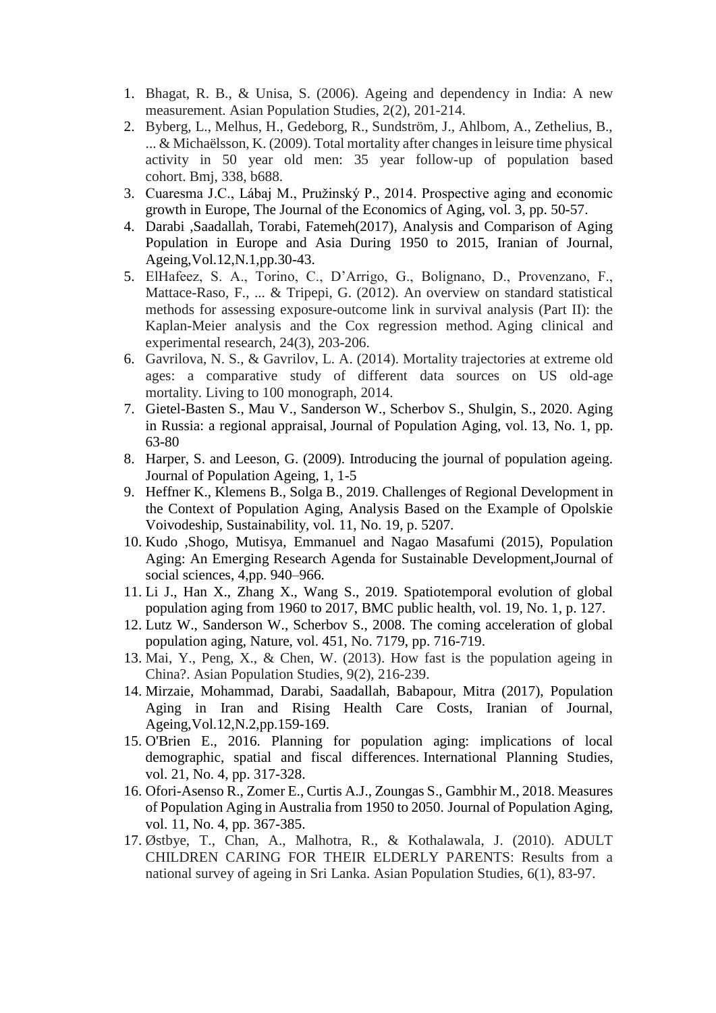- 1. Bhagat, R. B., & Unisa, S. (2006). Ageing and dependency in India: A new measurement. Asian Population Studies, 2(2), 201-214.
- 2. Byberg, L., Melhus, H., Gedeborg, R., Sundström, J., Ahlbom, A., Zethelius, B., ... & Michaëlsson, K. (2009). Total mortality after changes in leisure time physical activity in 50 year old men: 35 year follow-up of population based cohort. Bmj, 338, b688.
- 3. Cuaresma J.C., Lábaj M., Pružinský P., 2014. Prospective aging and economic growth in Europe, The Journal of the Economics of Aging, vol. 3, pp. 50-57.
- 4. Darabi ,Saadallah, Torabi, Fatemeh(2017), Analysis and Comparison of Aging Population in Europe and Asia During 1950 to 2015, Iranian of Journal, Ageing,Vol.12,N.1,pp.30-43.
- 5. ElHafeez, S. A., Torino, C., D'Arrigo, G., Bolignano, D., Provenzano, F., Mattace-Raso, F., ... & Tripepi, G. (2012). An overview on standard statistical methods for assessing exposure-outcome link in survival analysis (Part II): the Kaplan-Meier analysis and the Cox regression method. Aging clinical and experimental research, 24(3), 203-206.
- 6. Gavrilova, N. S., & Gavrilov, L. A. (2014). Mortality trajectories at extreme old ages: a comparative study of different data sources on US old-age mortality. Living to 100 monograph, 2014.
- 7. Gietel-Basten S., Mau V., Sanderson W., Scherbov S., Shulgin, S., 2020. Aging in Russia: a regional appraisal, Journal of Population Aging, vol. 13, No. 1, pp. 63-80
- 8. Harper, S. and Leeson, G. (2009). Introducing the journal of population ageing. Journal of Population Ageing, 1, 1-5
- 9. Heffner K., Klemens B., Solga B., 2019. Challenges of Regional Development in the Context of Population Aging, Analysis Based on the Example of Opolskie Voivodeship, Sustainability, vol. 11, No. 19, p. 5207.
- 10. Kudo ,Shogo, Mutisya, Emmanuel and Nagao Masafumi (2015), Population Aging: An Emerging Research Agenda for Sustainable Development,Journal of social sciences, 4,pp. 940–966.
- 11. Li J., Han X., Zhang X., Wang S., 2019. Spatiotemporal evolution of global population aging from 1960 to 2017, BMC public health, vol. 19, No. 1, p. 127.
- 12. Lutz W., Sanderson W., Scherbov S., 2008. The coming acceleration of global population aging, Nature, vol. 451, No. 7179, pp. 716-719.
- 13. Mai, Y., Peng, X., & Chen, W. (2013). How fast is the population ageing in China?. Asian Population Studies, 9(2), 216-239.
- 14. Mirzaie, Mohammad, Darabi, Saadallah, Babapour, Mitra (2017), Population Aging in Iran and Rising Health Care Costs, Iranian of Journal, Ageing,Vol.12,N.2,pp.159-169.
- 15. O'Brien E., 2016. Planning for population aging: implications of local demographic, spatial and fiscal differences. International Planning Studies, vol. 21, No. 4, pp. 317-328.
- 16. Ofori-Asenso R., Zomer E., Curtis A.J., Zoungas S., Gambhir M., 2018. Measures of Population Aging in Australia from 1950 to 2050. Journal of Population Aging, vol. 11, No. 4, pp. 367-385.
- 17. Østbye, T., Chan, A., Malhotra, R., & Kothalawala, J. (2010). ADULT CHILDREN CARING FOR THEIR ELDERLY PARENTS: Results from a national survey of ageing in Sri Lanka. Asian Population Studies, 6(1), 83-97.